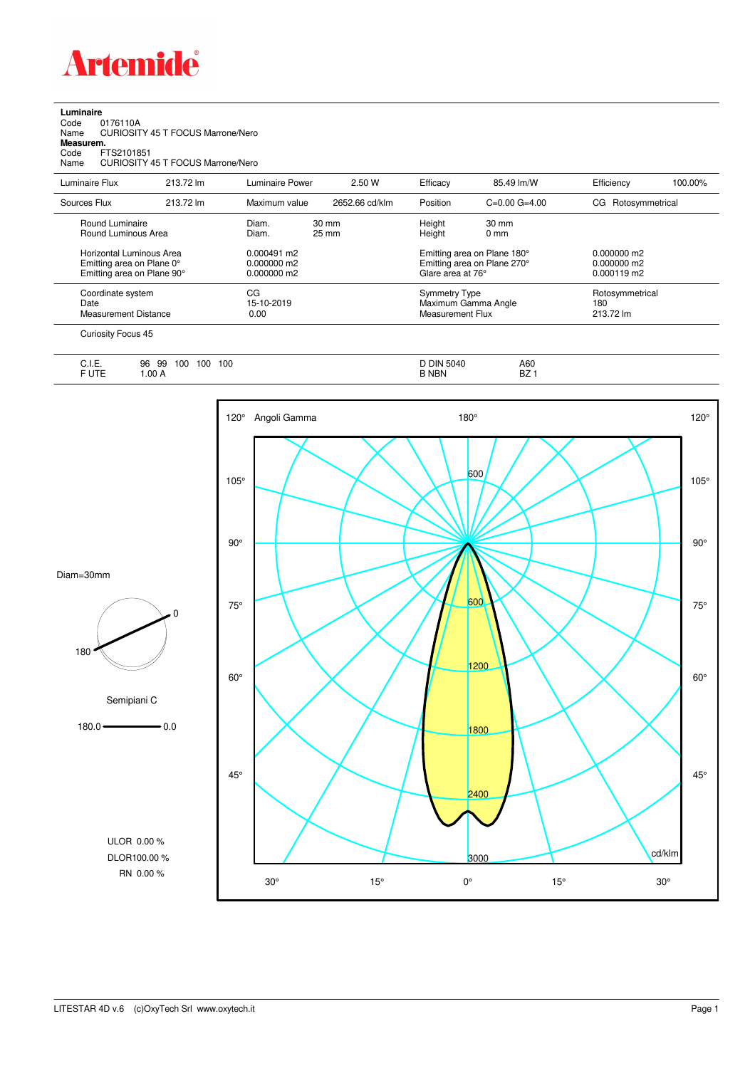

| Luminaire<br>Code<br>0176110A<br>Name<br>Measurem.<br>FTS2101851<br>Code<br>Name    | <b>CURIOSITY 45 T FOCUS Marrone/Nero</b><br>CURIOSITY 45 T FOCUS Marrone/Nero |                                             |                |                                                                                 |                                                                        |                                               |                                     |  |
|-------------------------------------------------------------------------------------|-------------------------------------------------------------------------------|---------------------------------------------|----------------|---------------------------------------------------------------------------------|------------------------------------------------------------------------|-----------------------------------------------|-------------------------------------|--|
| Luminaire Flux                                                                      | 213.72 lm                                                                     | Luminaire Power                             | 2.50 W         | Efficacy                                                                        | 85.49 lm/W                                                             | Efficiency                                    | 100.00%                             |  |
| Sources Flux                                                                        | 213.72 lm                                                                     | Maximum value                               | 2652.66 cd/klm | Position                                                                        | $C=0.00$ $G=4.00$                                                      | Rotosymmetrical<br>CG                         |                                     |  |
| Round Luminaire<br>Round Luminous Area                                              |                                                                               | Diam.<br>Diam.                              | 30 mm<br>25 mm | Height<br>Height                                                                | $30 \text{ mm}$<br>0 <sub>mm</sub>                                     |                                               |                                     |  |
| Horizontal Luminous Area<br>Emitting area on Plane 0°<br>Emitting area on Plane 90° |                                                                               | $0.000491$ m2<br>0.000000 m2<br>0.000000 m2 |                | Emitting area on Plane 180°<br>Emitting area on Plane 270°<br>Glare area at 76° |                                                                        | $0.000000$ m2<br>0.000000 m2<br>$0.000119$ m2 |                                     |  |
| Coordinate system<br>Date<br><b>Measurement Distance</b>                            |                                                                               | CG<br>15-10-2019<br>0.00                    |                |                                                                                 | <b>Symmetry Type</b><br>Maximum Gamma Angle<br><b>Measurement Flux</b> |                                               | Rotosymmetrical<br>180<br>213.72 lm |  |
| Curiosity Focus 45                                                                  |                                                                               |                                             |                |                                                                                 |                                                                        |                                               |                                     |  |